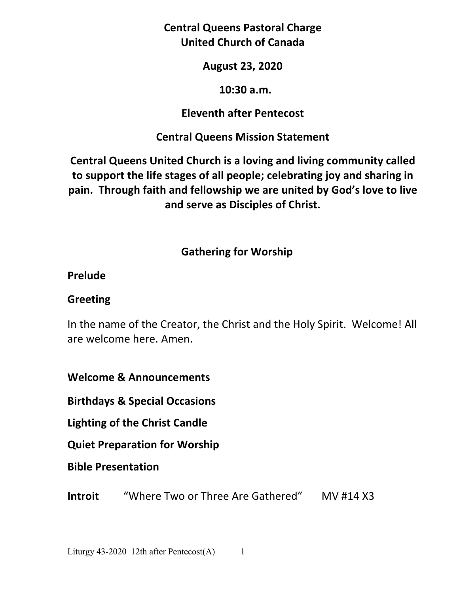**Central Queens Pastoral Charge United Church of Canada** 

#### **August 23, 2020**

#### **10:30 a.m.**

### **Eleventh after Pentecost**

# **Central Queens Mission Statement**

**Central Queens United Church is a loving and living community called to support the life stages of all people; celebrating joy and sharing in pain. Through faith and fellowship we are united by God's love to live and serve as Disciples of Christ.**

# **Gathering for Worship**

# **Prelude**

# **Greeting**

In the name of the Creator, the Christ and the Holy Spirit.Welcome! All are welcome here. Amen.

**Welcome & Announcements** 

**Birthdays & Special Occasions** 

**Lighting of the Christ Candle** 

**Quiet Preparation for Worship** 

**Bible Presentation** 

**Introit** "Where Two or Three Are Gathered" MV #14 X3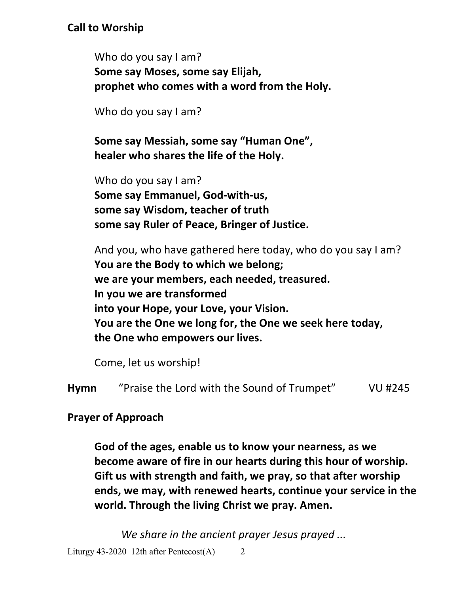### **Call to Worship**

Who do you say I am? **Some say Moses, some say Elijah, prophet who comes with a word from the Holy.** 

Who do you say I am?

 **Some say Messiah, some say "Human One", healer who shares the life of the Holy.**

 Who do you say I am?  **Some say Emmanuel, God-with-us, some say Wisdom, teacher of truth some say Ruler of Peace, Bringer of Justice.**

 And you, who have gathered here today, who do you say I am?  **You are the Body to which we belong; we are your members, each needed, treasured. In you we are transformed into your Hope, your Love, your Vision. You are the One we long for, the One we seek here today, the One who empowers our lives.** 

Come, let us worship!

**Hymn** "Praise the Lord with the Sound of Trumpet"VU #245

# **Prayer of Approach**

**God of the ages, enable us to know your nearness, as we become aware of fire in our hearts during this hour of worship. Gift us with strength and faith, we pray, so that after worship ends, we may, with renewed hearts, continue your service in the world. Through the living Christ we pray. Amen.** 

Liturgy 43-2020 12th after Pentecost $(A)$  2 *We share in the ancient prayer Jesus prayed ...*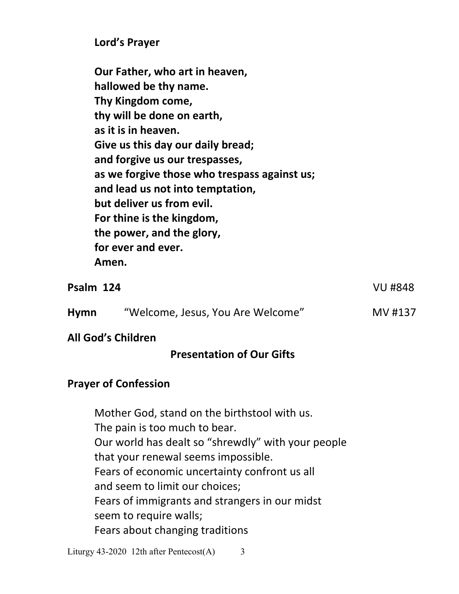**Lord's Prayer** 

**Our Father, who art in heaven, hallowed be thy name. Thy Kingdom come, thy will be done on earth, as it is in heaven. Give us this day our daily bread; and forgive us our trespasses, as we forgive those who trespass against us; and lead us not into temptation, but deliver us from evil. For thine is the kingdom, the power, and the glory, for ever and ever. Amen.**

| Psalm 124 |                                   | VU #848 |
|-----------|-----------------------------------|---------|
| Hymn      | "Welcome, Jesus, You Are Welcome" | MV #137 |

### **All God's Children**

# **Presentation of Our Gifts**

# **Prayer of Confession**

Mother God, stand on the birthstool with us. The pain is too much to bear. Our world has dealt so "shrewdly" with your people that your renewal seems impossible. Fears of economic uncertainty confront us all and seem to limit our choices; Fears of immigrants and strangers in our midst seem to require walls; Fears about changing traditions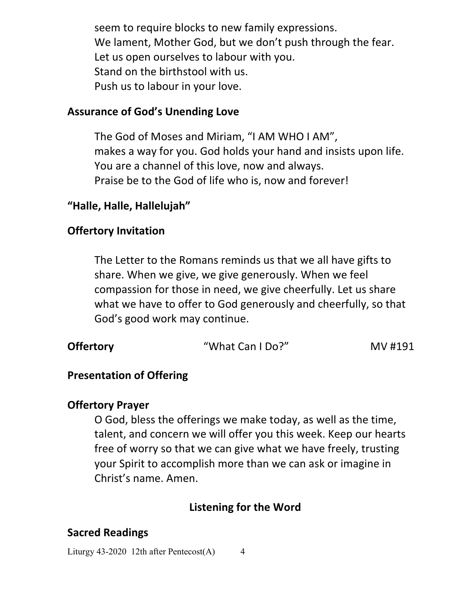seem to require blocks to new family expressions. We lament, Mother God, but we don't push through the fear. Let us open ourselves to labour with you. Stand on the birthstool with us. Push us to labour in your love.

#### **Assurance of God's Unending Love**

 The God of Moses and Miriam, "I AM WHO I AM", makes a way for you. God holds your hand and insists upon life. You are a channel of this love, now and always. Praise be to the God of life who is, now and forever!

### **"Halle, Halle, Hallelujah"**

### **Offertory Invitation**

 The Letter to the Romans reminds us that we all have gifts to share. When we give, we give generously. When we feel compassion for those in need, we give cheerfully. Let us share what we have to offer to God generously and cheerfully, so that God's good work may continue.

| <b>Offertory</b> | "What Can I Do?" | MV #191 |
|------------------|------------------|---------|
|                  |                  |         |

### **Presentation of Offering**

#### **Offertory Prayer**

O God, bless the offerings we make today, as well as the time, talent, and concern we will offer you this week. Keep our hearts free of worry so that we can give what we have freely, trusting your Spirit to accomplish more than we can ask or imagine in Christ's name. Amen.

### **Listening for the Word**

### **Sacred Readings**

Liturgy 43-2020 12th after Pentecost $(A)$  4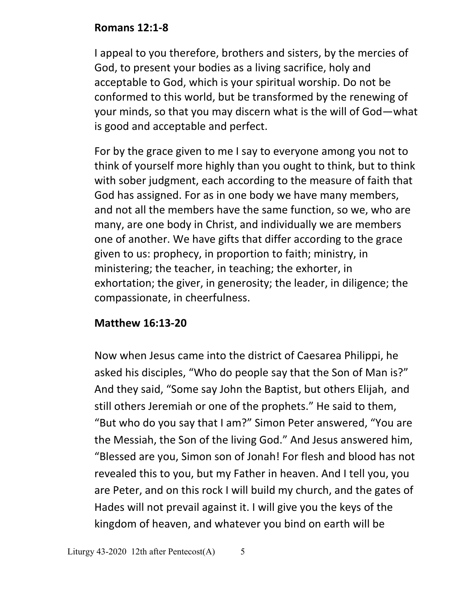### **Romans 12:1-8**

I appeal to you therefore, brothers and sisters, by the mercies of God, to present your bodies as a living sacrifice, holy and acceptable to God, which is your spiritual worship. Do not be conformed to this world, but be transformed by the renewing of your minds, so that you may discern what is the will of God—what is good and acceptable and perfect.

For by the grace given to me I say to everyone among you not to think of yourself more highly than you ought to think, but to think with sober judgment, each according to the measure of faith that God has assigned. For as in one body we have many members, and not all the members have the same function, so we, who are many, are one body in Christ, and individually we are members one of another. We have gifts that differ according to the grace given to us: prophecy, in proportion to faith; ministry, in ministering; the teacher, in teaching; the exhorter, in exhortation; the giver, in generosity; the leader, in diligence; the compassionate, in cheerfulness.

### **Matthew 16:13-20**

Now when Jesus came into the district of Caesarea Philippi, he asked his disciples, "Who do people say that the Son of Man is?" And they said, "Some say John the Baptist, but others Elijah, and still others Jeremiah or one of the prophets." He said to them, "But who do you say that I am?" Simon Peter answered, "You are the Messiah, the Son of the living God." And Jesus answered him, "Blessed are you, Simon son of Jonah! For flesh and blood has not revealed this to you, but my Father in heaven. And I tell you, you are Peter, and on this rock I will build my church, and the gates of Hades will not prevail against it. I will give you the keys of the kingdom of heaven, and whatever you bind on earth will be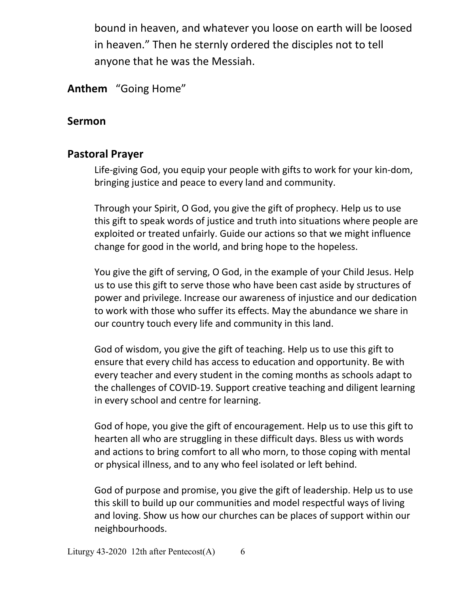bound in heaven, and whatever you loose on earth will be loosed in heaven." Then he sternly ordered the disciples not to tell anyone that he was the Messiah.

**Anthem** "Going Home"

### **Sermon**

### **Pastoral Prayer**

Life-giving God, you equip your people with gifts to work for your kin-dom, bringing justice and peace to every land and community.

 Through your Spirit, O God, you give the gift of prophecy. Help us to use this gift to speak words of justice and truth into situations where people are exploited or treated unfairly. Guide our actions so that we might influence change for good in the world, and bring hope to the hopeless.

 You give the gift of serving, O God, in the example of your Child Jesus. Help us to use this gift to serve those who have been cast aside by structures of power and privilege. Increase our awareness of injustice and our dedication to work with those who suffer its effects. May the abundance we share in our country touch every life and community in this land.

 God of wisdom, you give the gift of teaching. Help us to use this gift to ensure that every child has access to education and opportunity. Be with every teacher and every student in the coming months as schools adapt to the challenges of COVID-19. Support creative teaching and diligent learning in every school and centre for learning.

 God of hope, you give the gift of encouragement. Help us to use this gift to hearten all who are struggling in these difficult days. Bless us with words and actions to bring comfort to all who morn, to those coping with mental or physical illness, and to any who feel isolated or left behind.

 God of purpose and promise, you give the gift of leadership. Help us to use this skill to build up our communities and model respectful ways of living and loving. Show us how our churches can be places of support within our neighbourhoods.